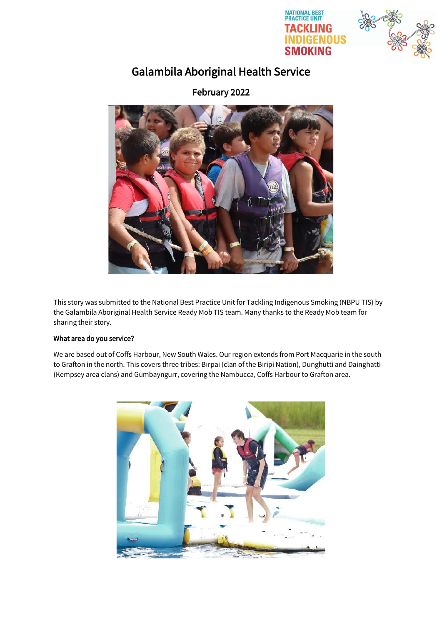



# Galambila Aboriginal Health Service

February 2022



This story was submitted to the National Best Practice Unit for Tackling Indigenous Smoking (NBPU TIS) by the Galambila Aboriginal Health Service Ready Mob TIS team. Many thanks to the Ready Mob team for sharing their story.

# What area do you service?

We are based out of Coffs Harbour, New South Wales. Our region extends from Port Macquarie in the south to Grafton in the north. This covers three tribes: Birpai (clan of the Biripi Nation), Dunghutti and Dainghatti (Kempsey area clans) and Gumbayngurr, covering the Nambucca, Coffs Harbour to Grafton area.